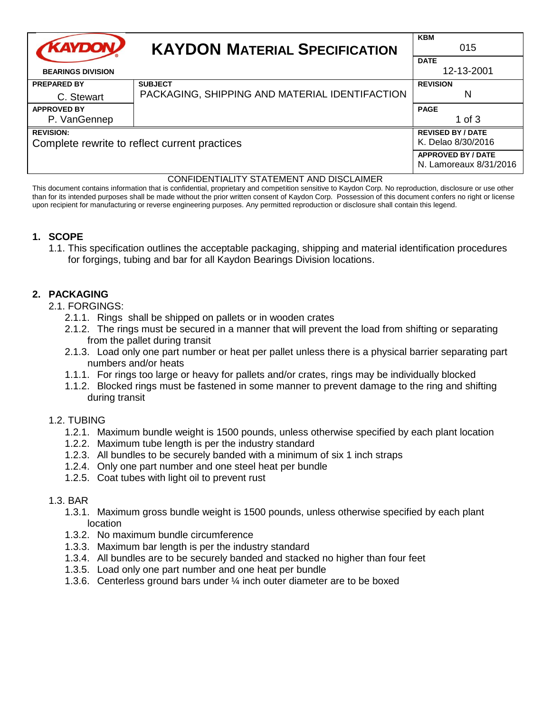| <b>KAYDON/</b>                                | <b>KAYDON MATERIAL SPECIFICATION</b>           | <b>KBM</b><br>015                                   |
|-----------------------------------------------|------------------------------------------------|-----------------------------------------------------|
| <b>BEARINGS DIVISION</b>                      |                                                | <b>DATE</b><br>12-13-2001                           |
| <b>PREPARED BY</b>                            | <b>SUBJECT</b>                                 | <b>REVISION</b>                                     |
| C. Stewart                                    | PACKAGING, SHIPPING AND MATERIAL IDENTIFACTION | N                                                   |
| <b>APPROVED BY</b>                            |                                                | <b>PAGE</b>                                         |
| P. VanGennep                                  |                                                | 1 of $3$                                            |
| <b>REVISION:</b>                              |                                                | <b>REVISED BY / DATE</b>                            |
| Complete rewrite to reflect current practices |                                                | K. Delao 8/30/2016                                  |
|                                               |                                                | <b>APPROVED BY / DATE</b><br>N. Lamoreaux 8/31/2016 |

#### CONFIDENTIALITY STATEMENT AND DISCLAIMER

This document contains information that is confidential, proprietary and competition sensitive to Kaydon Corp. No reproduction, disclosure or use other than for its intended purposes shall be made without the prior written consent of Kaydon Corp. Possession of this document confers no right or license upon recipient for manufacturing or reverse engineering purposes. Any permitted reproduction or disclosure shall contain this legend.

### **1. SCOPE**

1.1. This specification outlines the acceptable packaging, shipping and material identification procedures for forgings, tubing and bar for all Kaydon Bearings Division locations.

### **2. PACKAGING**

- 2.1. FORGINGS:
	- 2.1.1. Rings shall be shipped on pallets or in wooden crates
	- 2.1.2. The rings must be secured in a manner that will prevent the load from shifting or separating from the pallet during transit
	- 2.1.3. Load only one part number or heat per pallet unless there is a physical barrier separating part numbers and/or heats
	- 1.1.1. For rings too large or heavy for pallets and/or crates, rings may be individually blocked
	- 1.1.2. Blocked rings must be fastened in some manner to prevent damage to the ring and shifting during transit
- 1.2. TUBING
	- 1.2.1. Maximum bundle weight is 1500 pounds, unless otherwise specified by each plant location
	- 1.2.2. Maximum tube length is per the industry standard
	- 1.2.3. All bundles to be securely banded with a minimum of six 1 inch straps
	- 1.2.4. Only one part number and one steel heat per bundle
	- 1.2.5. Coat tubes with light oil to prevent rust

#### 1.3. BAR

- 1.3.1. Maximum gross bundle weight is 1500 pounds, unless otherwise specified by each plant location
- 1.3.2. No maximum bundle circumference
- 1.3.3. Maximum bar length is per the industry standard
- 1.3.4. All bundles are to be securely banded and stacked no higher than four feet
- 1.3.5. Load only one part number and one heat per bundle
- 1.3.6. Centerless ground bars under ¼ inch outer diameter are to be boxed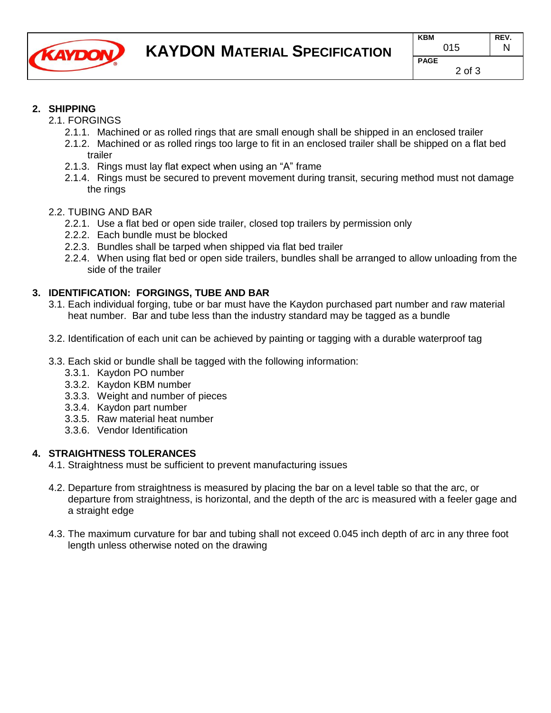

# **2. SHIPPING**

- 2.1. FORGINGS
	- 2.1.1. Machined or as rolled rings that are small enough shall be shipped in an enclosed trailer
	- 2.1.2. Machined or as rolled rings too large to fit in an enclosed trailer shall be shipped on a flat bed trailer
	- 2.1.3. Rings must lay flat expect when using an "A" frame
	- 2.1.4. Rings must be secured to prevent movement during transit, securing method must not damage the rings

### 2.2. TUBING AND BAR

- 2.2.1. Use a flat bed or open side trailer, closed top trailers by permission only
- 2.2.2. Each bundle must be blocked
- 2.2.3. Bundles shall be tarped when shipped via flat bed trailer
- 2.2.4. When using flat bed or open side trailers, bundles shall be arranged to allow unloading from the side of the trailer

# **3. IDENTIFICATION: FORGINGS, TUBE AND BAR**

- 3.1. Each individual forging, tube or bar must have the Kaydon purchased part number and raw material heat number. Bar and tube less than the industry standard may be tagged as a bundle
- 3.2. Identification of each unit can be achieved by painting or tagging with a durable waterproof tag
- 3.3. Each skid or bundle shall be tagged with the following information:
	- 3.3.1. Kaydon PO number
	- 3.3.2. Kaydon KBM number
	- 3.3.3. Weight and number of pieces
	- 3.3.4. Kaydon part number
	- 3.3.5. Raw material heat number
	- 3.3.6. Vendor Identification

### **4. STRAIGHTNESS TOLERANCES**

- 4.1. Straightness must be sufficient to prevent manufacturing issues
- 4.2. Departure from straightness is measured by placing the bar on a level table so that the arc, or departure from straightness, is horizontal, and the depth of the arc is measured with a feeler gage and a straight edge
- 4.3. The maximum curvature for bar and tubing shall not exceed 0.045 inch depth of arc in any three foot length unless otherwise noted on the drawing